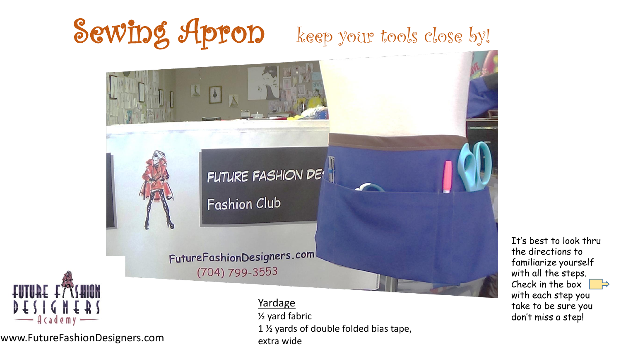## Sewing Apron keep your tools close by!



www.FutureFashionDesigners.com

½ yard fabric 1 ½ yards of double folded bias tape, extra wide

It's best to look thru the directions to familiarize yourself with all the steps. Check in the box with each step you take to be sure you don't miss a step!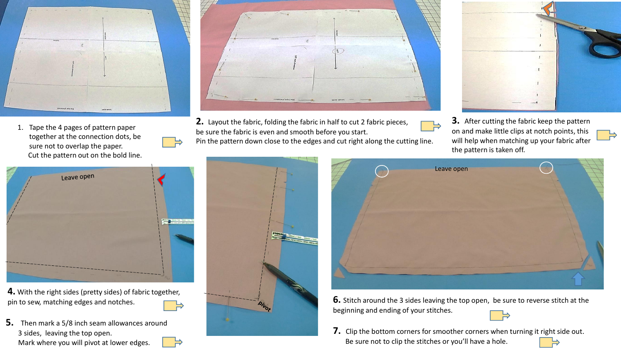

1. Tape the 4 pages of pattern paper together at the connection dots, be sure not to overlap the paper. Cut the pattern out on the bold line.



**4.** With the right sides (pretty sides) of fabric together, pin to sew, matching edges and notches.



**5.** Then mark a 5/8 inch seam allowances around 3 sides, leaving the top open. Mark where you will pivot at lower edges.



**2.** Layout the fabric, folding the fabric in half to cut 2 fabric pieces, be sure the fabric is even and smooth before you start.

Pin the pattern down close to the edges and cut right along the cutting line.







**3.** After cutting the fabric keep the pattern on and make little clips at notch points, this will help when matching up your fabric after the pattern is taken off.



**6.** Stitch around the 3 sides leaving the top open, be sure to reverse stitch at the beginning and ending of your stitches.



**7.** Clip the bottom corners for smoother corners when turning it right side out. Be sure not to clip the stitches or you'll have a hole.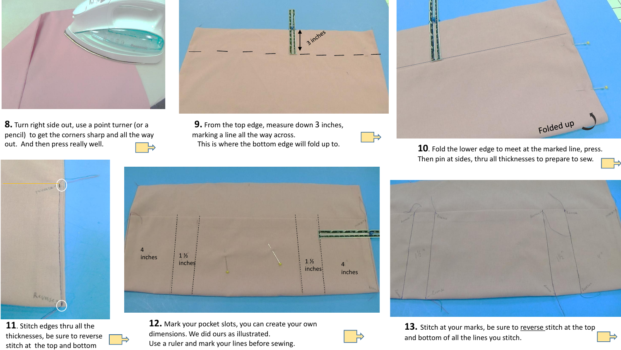

**8.** Turn right side out, use a point turner (or a pencil) to get the corners sharp and all the way out. And then press really well.



**11**. Stitch edges thru all the thicknesses, be sure to reverse stitch at the top and bottom



**9.** From the top edge, measure down 3 inches, marking a line all the way across.







13. Stitch at your marks, be sure to reverse stitch at the top and bottom of all the lines you stitch.



This is where the bottom edge will fold up to. **10**. Fold the lower edge to meet at the marked line, press. Then pin at sides, thru all thicknesses to prepare to sew.